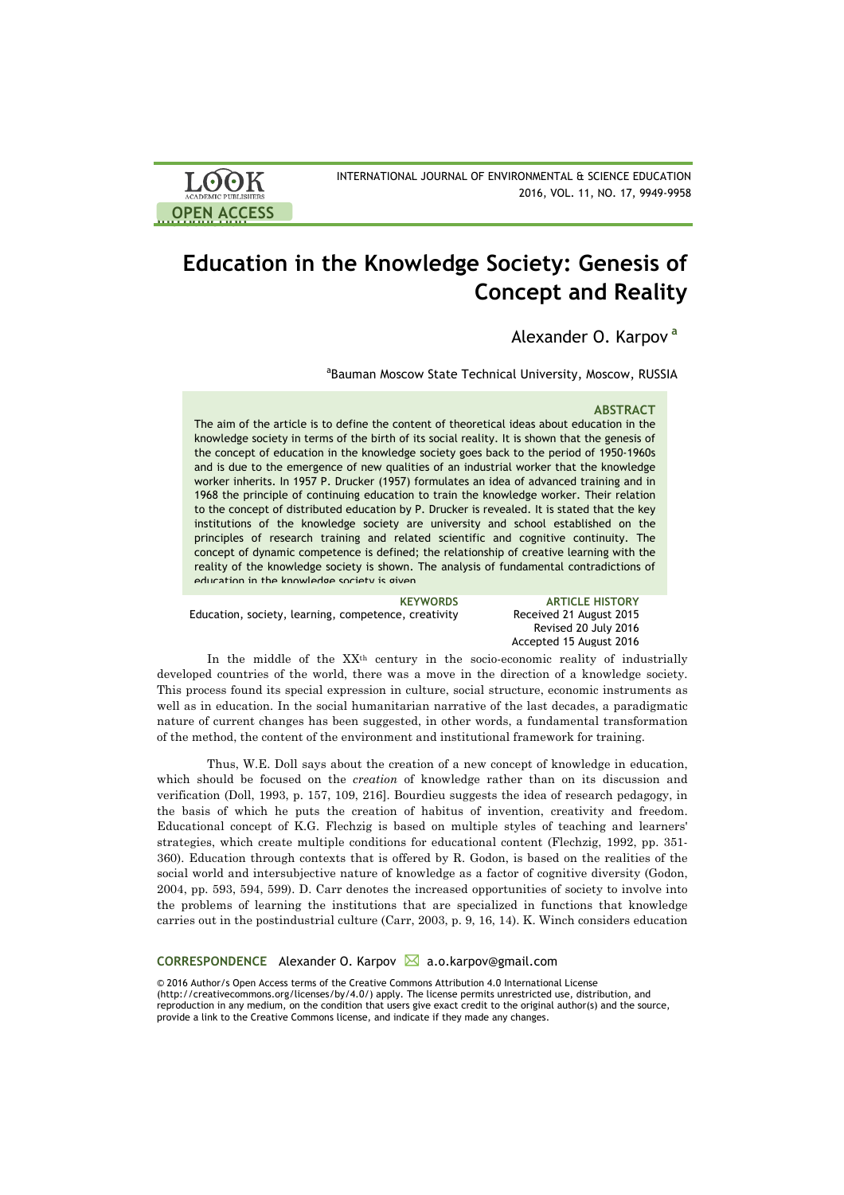

# **Education in the Knowledge Society: Genesis of Concept and Reality**

Alexander O. Karpov **<sup>a</sup>**

DOI: 10.12973/ijese.2016.322a

<sup>a</sup>Bauman Moscow State Technical University, Moscow, RUSSIA

### **ABSTRACT**

The aim of the article is to define the content of theoretical ideas about education in the knowledge society in terms of the birth of its social reality. It is shown that the genesis of the concept of education in the knowledge society goes back to the period of 1950-1960s and is due to the emergence of new qualities of an industrial worker that the knowledge worker inherits. In 1957 P. Drucker (1957) formulates an idea of advanced training and in 1968 the principle of continuing education to train the knowledge worker. Their relation to the concept of distributed education by P. Drucker is revealed. It is stated that the key institutions of the knowledge society are university and school established on the principles of research training and related scientific and cognitive continuity. The concept of dynamic competence is defined; the relationship of creative learning with the reality of the knowledge society is shown. The analysis of fundamental contradictions of education in the knowledge society is given.

Education, society, learning, competence, creativity

**KEYWORDS ARTICLE HISTORY** Revised 20 July 2016 Accepted 15 August 2016

In the middle of the XXth century in the socio-economic reality of industrially developed countries of the world, there was a move in the direction of a knowledge society. This process found its special expression in culture, social structure, economic instruments as well as in education. In the social humanitarian narrative of the last decades, a paradigmatic nature of current changes has been suggested, in other words, a fundamental transformation of the method, the content of the environment and institutional framework for training.

Thus, W.E. Doll says about the creation of a new concept of knowledge in education, which should be focused on the *creation* of knowledge rather than on its discussion and verification (Doll, 1993, p. 157, 109, 216]. Bourdieu suggests the idea of research pedagogy, in the basis of which he puts the creation of habitus of invention, creativity and freedom. Educational concept of K.G. Flechzig is based on multiple styles of teaching and learners' strategies, which create multiple conditions for educational content (Flechzig, 1992, pp. 351- 360). Education through contexts that is offered by R. Godon, is based on the realities of the social world and intersubjective nature of knowledge as a factor of cognitive diversity (Godon, 2004, pp. 593, 594, 599). D. Carr denotes the increased opportunities of society to involve into the problems of learning the institutions that are specialized in functions that knowledge carries out in the postindustrial culture (Carr, 2003, p. 9, 16, 14). K. Winch considers education

### CORRESPONDENCE Alexander O. Karpov **△** a.o.karpov@gmail.com

© 2016 Author/s Open Access terms of the Creative Commons Attribution 4.0 International License (http://creativecommons.org/licenses/by/4.0/) apply. The license permits unrestricted use, distribution, and reproduction in any medium, on the condition that users give exact credit to the original author(s) and the source, provide a link to the Creative Commons license, and indicate if they made any changes.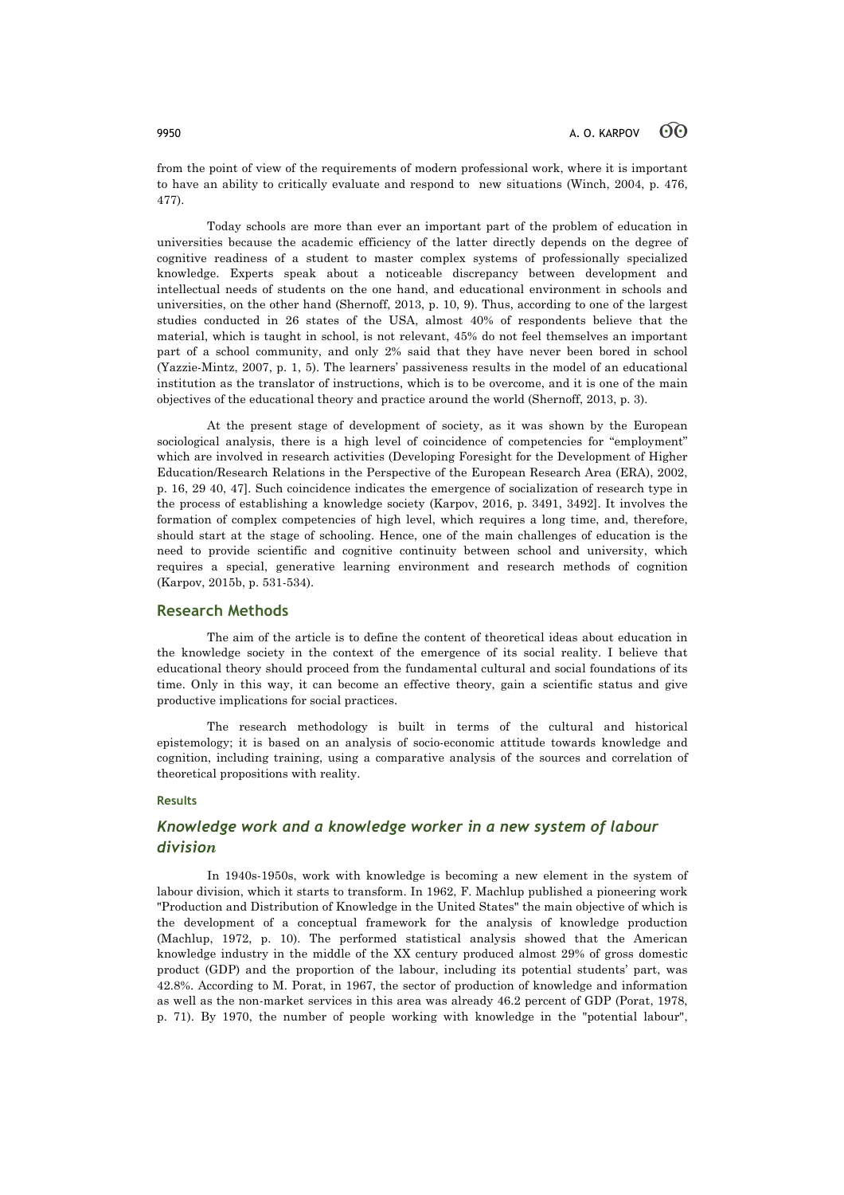from the point of view of the requirements of modern professional work, where it is important to have an ability to critically evaluate and respond to new situations (Winch, 2004, p. 476, 477).

Today schools are more than ever an important part of the problem of education in universities because the academic efficiency of the latter directly depends on the degree of cognitive readiness of a student to master complex systems of professionally specialized knowledge. Experts speak about a noticeable discrepancy between development and intellectual needs of students on the one hand, and educational environment in schools and universities, on the other hand (Shernoff, 2013, p. 10, 9). Thus, according to one of the largest studies conducted in 26 states of the USA, almost 40% of respondents believe that the material, which is taught in school, is not relevant, 45% do not feel themselves an important part of a school community, and only 2% said that they have never been bored in school (Yazzie-Mintz, 2007, p. 1, 5). The learners' passiveness results in the model of an educational institution as the translator of instructions, which is to be overcome, and it is one of the main objectives of the educational theory and practice around the world (Shernoff, 2013, p. 3).

At the present stage of development of society, as it was shown by the European sociological analysis, there is a high level of coincidence of competencies for "employment" which are involved in research activities (Developing Foresight for the Development of Higher Education/Research Relations in the Perspective of the European Research Area (ERA), 2002, p. 16, 29 40, 47]. Such coincidence indicates the emergence of socialization of research type in the process of establishing a knowledge society (Karpov, 2016, p. 3491, 3492]. It involves the formation of complex competencies of high level, which requires a long time, and, therefore, should start at the stage of schooling. Hence, one of the main challenges of education is the need to provide scientific and cognitive continuity between school and university, which requires a special, generative learning environment and research methods of cognition (Karpov, 2015b, p. 531-534).

# **Research Methods**

The aim of the article is to define the content of theoretical ideas about education in the knowledge society in the context of the emergence of its social reality. I believe that educational theory should proceed from the fundamental cultural and social foundations of its time. Only in this way, it can become an effective theory, gain a scientific status and give productive implications for social practices.

The research methodology is built in terms of the cultural and historical epistemology; it is based on an analysis of socio-economic attitude towards knowledge and cognition, including training, using a comparative analysis of the sources and correlation of theoretical propositions with reality.

# **Results**

# *Knowledge work and a knowledge worker in a new system of labour division*

In 1940s-1950s, work with knowledge is becoming a new element in the system of labour division, which it starts to transform. In 1962, F. Machlup published a pioneering work "Production and Distribution of Knowledge in the United States" the main objective of which is the development of a conceptual framework for the analysis of knowledge production (Machlup, 1972, p. 10). The performed statistical analysis showed that the American knowledge industry in the middle of the XX century produced almost 29% of gross domestic product (GDP) and the proportion of the labour, including its potential students' part, was 42.8%. According to M. Porat, in 1967, the sector of production of knowledge and information as well as the non-market services in this area was already 46.2 percent of GDP (Porat, 1978, p. 71). By 1970, the number of people working with knowledge in the "potential labour",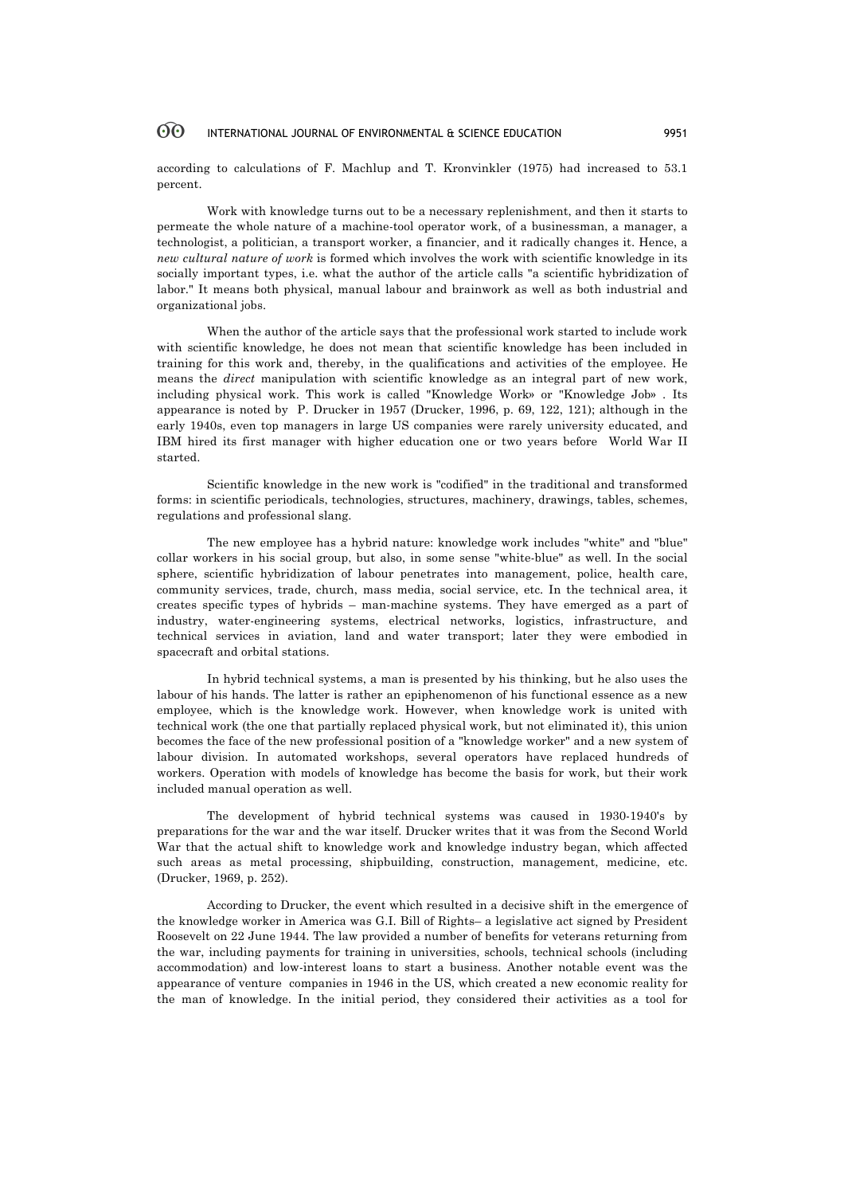according to calculations of F. Machlup and T. Kronvinkler (1975) had increased to 53.1 percent.

Work with knowledge turns out to be a necessary replenishment, and then it starts to permeate the whole nature of a machine-tool operator work, of a businessman, a manager, a technologist, a politician, a transport worker, a financier, and it radically changes it. Hence, a *new cultural nature of work* is formed which involves the work with scientific knowledge in its socially important types, i.e. what the author of the article calls "a scientific hybridization of labor." It means both physical, manual labour and brainwork as well as both industrial and organizational jobs.

When the author of the article says that the professional work started to include work with scientific knowledge, he does not mean that scientific knowledge has been included in training for this work and, thereby, in the qualifications and activities of the employee. He means the *direct* manipulation with scientific knowledge as an integral part of new work, including physical work. This work is called "Knowledge Work» or "Knowledge Job» . Its appearance is noted by P. Drucker in 1957 (Drucker, 1996, p. 69, 122, 121); although in the early 1940s, even top managers in large US companies were rarely university educated, and IBM hired its first manager with higher education one or two years before World War II started.

Scientific knowledge in the new work is "codified" in the traditional and transformed forms: in scientific periodicals, technologies, structures, machinery, drawings, tables, schemes, regulations and professional slang.

The new employee has a hybrid nature: knowledge work includes "white" and "blue" collar workers in his social group, but also, in some sense "white-blue" as well. In the social sphere, scientific hybridization of labour penetrates into management, police, health care, community services, trade, church, mass media, social service, etc. In the technical area, it creates specific types of hybrids – man-machine systems. They have emerged as a part of industry, water-engineering systems, electrical networks, logistics, infrastructure, and technical services in aviation, land and water transport; later they were embodied in spacecraft and orbital stations.

In hybrid technical systems, a man is presented by his thinking, but he also uses the labour of his hands. The latter is rather an epiphenomenon of his functional essence as a new employee, which is the knowledge work. However, when knowledge work is united with technical work (the one that partially replaced physical work, but not eliminated it), this union becomes the face of the new professional position of a "knowledge worker" and a new system of labour division. In automated workshops, several operators have replaced hundreds of workers. Operation with models of knowledge has become the basis for work, but their work included manual operation as well.

The development of hybrid technical systems was caused in 1930-1940's by preparations for the war and the war itself. Drucker writes that it was from the Second World War that the actual shift to knowledge work and knowledge industry began, which affected such areas as metal processing, shipbuilding, construction, management, medicine, etc. (Drucker, 1969, p. 252).

According to Drucker, the event which resulted in a decisive shift in the emergence of the knowledge worker in America was G.I. Bill of Rights– a legislative act signed by President Roosevelt on 22 June 1944. The law provided a number of benefits for veterans returning from the war, including payments for training in universities, schools, technical schools (including accommodation) and low-interest loans to start a business. Another notable event was the appearance of venture companies in 1946 in the US, which created a new economic reality for the man of knowledge. In the initial period, they considered their activities as a tool for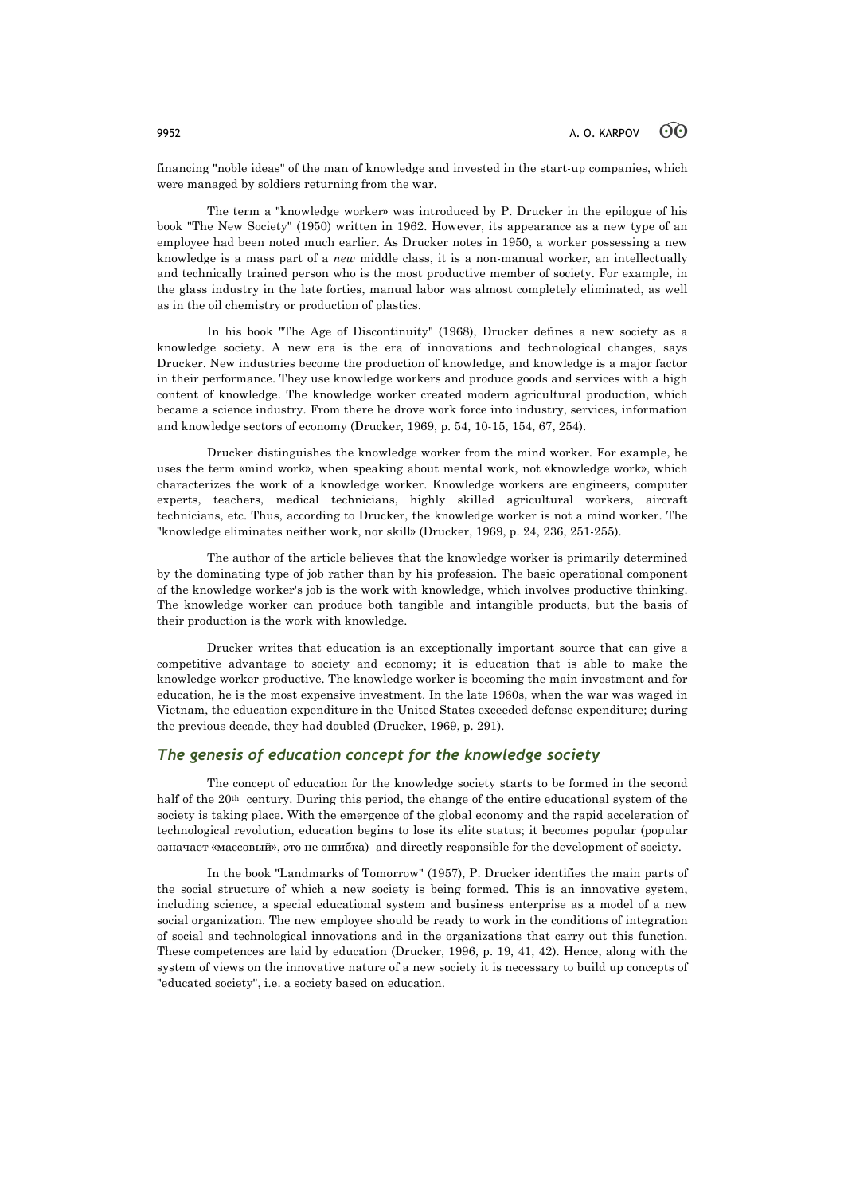financing "noble ideas" of the man of knowledge and invested in the start-up companies, which were managed by soldiers returning from the war.

The term a "knowledge worker» was introduced by P. Drucker in the epilogue of his book "The New Society" (1950) written in 1962. However, its appearance as a new type of an employee had been noted much earlier. As Drucker notes in 1950, a worker possessing a new knowledge is a mass part of a *new* middle class, it is a non-manual worker, an intellectually and technically trained person who is the most productive member of society. For example, in the glass industry in the late forties, manual labor was almost completely eliminated, as well as in the oil chemistry or production of plastics.

In his book "The Age of Discontinuity" (1968), Drucker defines a new society as a knowledge society. A new era is the era of innovations and technological changes, says Drucker. New industries become the production of knowledge, and knowledge is a major factor in their performance. They use knowledge workers and produce goods and services with a high content of knowledge. The knowledge worker created modern agricultural production, which became a science industry. From there he drove work force into industry, services, information and knowledge sectors of economy (Drucker, 1969, p. 54, 10-15, 154, 67, 254).

Drucker distinguishes the knowledge worker from the mind worker. For example, he uses the term «mind work», when speaking about mental work, not «knowledge work», which characterizes the work of a knowledge worker. Knowledge workers are engineers, computer experts, teachers, medical technicians, highly skilled agricultural workers, aircraft technicians, etc. Thus, according to Drucker, the knowledge worker is not a mind worker. The "knowledge eliminates neither work, nor skill» (Drucker, 1969, p. 24, 236, 251-255).

The author of the article believes that the knowledge worker is primarily determined by the dominating type of job rather than by his profession. The basic operational component of the knowledge worker's job is the work with knowledge, which involves productive thinking. The knowledge worker can produce both tangible and intangible products, but the basis of their production is the work with knowledge.

Drucker writes that education is an exceptionally important source that can give a competitive advantage to society and economy; it is education that is able to make the knowledge worker productive. The knowledge worker is becoming the main investment and for education, he is the most expensive investment. In the late 1960s, when the war was waged in Vietnam, the education expenditure in the United States exceeded defense expenditure; during the previous decade, they had doubled (Drucker, 1969, p. 291).

# *The genesis of education concept for the knowledge society*

The concept of education for the knowledge society starts to be formed in the second half of the 20<sup>th</sup> century. During this period, the change of the entire educational system of the society is taking place. With the emergence of the global economy and the rapid acceleration of technological revolution, education begins to lose its elite status; it becomes popular (popular означает «массовый», это не ошибка) and directly responsible for the development of society.

In the book "Landmarks of Tomorrow" (1957), P. Drucker identifies the main parts of the social structure of which a new society is being formed. This is an innovative system, including science, a special educational system and business enterprise as a model of a new social organization. The new employee should be ready to work in the conditions of integration of social and technological innovations and in the organizations that carry out this function. These competences are laid by education (Drucker, 1996, p. 19, 41, 42). Hence, along with the system of views on the innovative nature of a new society it is necessary to build up concepts of "educated society", i.e. a society based on education.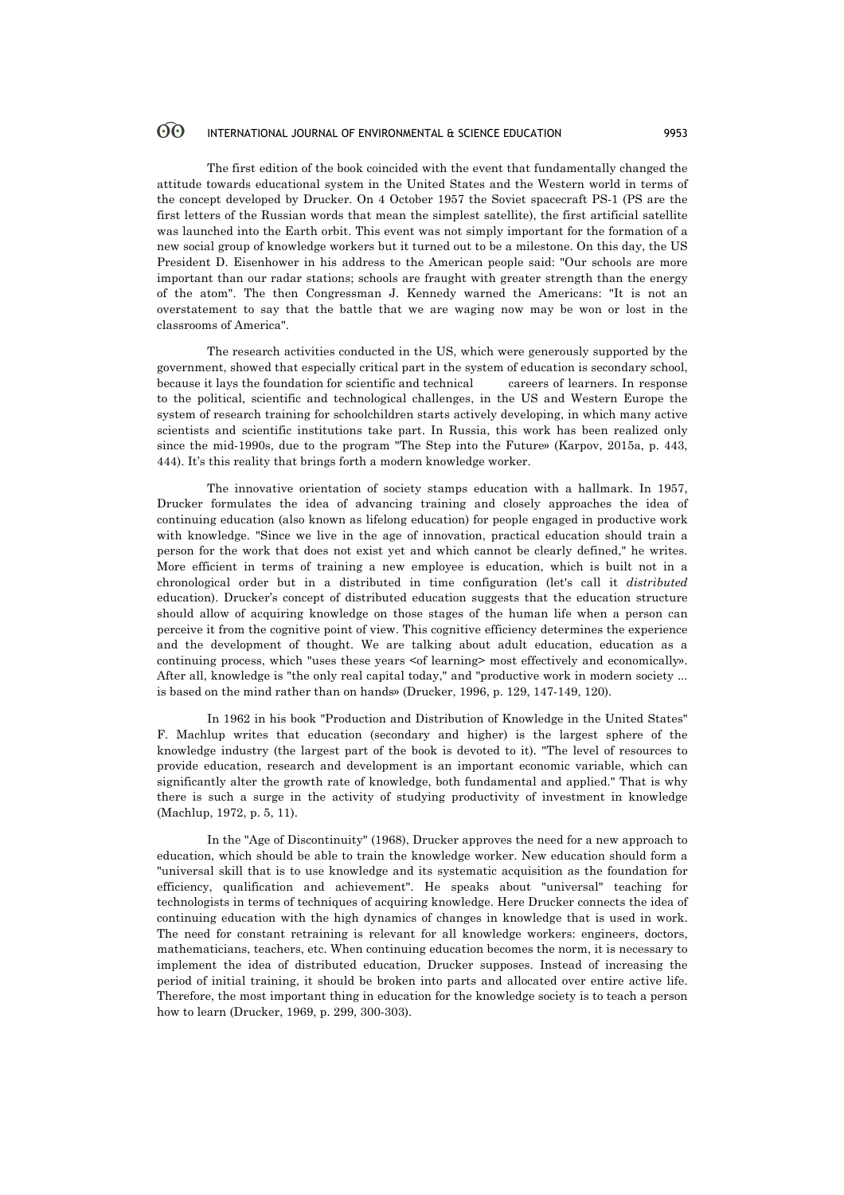The first edition of the book coincided with the event that fundamentally changed the attitude towards educational system in the United States and the Western world in terms of the concept developed by Drucker. On 4 October 1957 the Soviet spacecraft PS-1 (PS are the first letters of the Russian words that mean the simplest satellite), the first artificial satellite was launched into the Earth orbit. This event was not simply important for the formation of a new social group of knowledge workers but it turned out to be a milestone. On this day, the US President D. Eisenhower in his address to the American people said: "Our schools are more important than our radar stations; schools are fraught with greater strength than the energy of the atom". The then Congressman J. Kennedy warned the Americans: "It is not an overstatement to say that the battle that we are waging now may be won or lost in the classrooms of America".

The research activities conducted in the US, which were generously supported by the government, showed that especially critical part in the system of education is secondary school, because it lays the foundation for scientific and technical careers of learners. In response to the political, scientific and technological challenges, in the US and Western Europe the system of research training for schoolchildren starts actively developing, in which many active scientists and scientific institutions take part. In Russia, this work has been realized only since the mid-1990s, due to the program "The Step into the Future» (Karpov, 2015a, p. 443, 444). It's this reality that brings forth a modern knowledge worker.

The innovative orientation of society stamps education with a hallmark. In 1957, Drucker formulates the idea of advancing training and closely approaches the idea of continuing education (also known as lifelong education) for people engaged in productive work with knowledge. "Since we live in the age of innovation, practical education should train a person for the work that does not exist yet and which cannot be clearly defined," he writes. More efficient in terms of training a new employee is education, which is built not in a chronological order but in a distributed in time configuration (let's call it *distributed*  education). Drucker's concept of distributed education suggests that the education structure should allow of acquiring knowledge on those stages of the human life when a person can perceive it from the cognitive point of view. This cognitive efficiency determines the experience and the development of thought. We are talking about adult education, education as a continuing process, which "uses these years <of learning> most effectively and economically». After all, knowledge is "the only real capital today," and "productive work in modern society ... is based on the mind rather than on hands» (Drucker, 1996, p. 129, 147-149, 120).

In 1962 in his book "Production and Distribution of Knowledge in the United States" F. Machlup writes that education (secondary and higher) is the largest sphere of the knowledge industry (the largest part of the book is devoted to it). "The level of resources to provide education, research and development is an important economic variable, which can significantly alter the growth rate of knowledge, both fundamental and applied." That is why there is such a surge in the activity of studying productivity of investment in knowledge (Machlup, 1972, p. 5, 11).

In the "Age of Discontinuity" (1968), Drucker approves the need for a new approach to education, which should be able to train the knowledge worker. New education should form a "universal skill that is to use knowledge and its systematic acquisition as the foundation for efficiency, qualification and achievement". He speaks about "universal" teaching for technologists in terms of techniques of acquiring knowledge. Here Drucker connects the idea of continuing education with the high dynamics of changes in knowledge that is used in work. The need for constant retraining is relevant for all knowledge workers: engineers, doctors, mathematicians, teachers, etc. When continuing education becomes the norm, it is necessary to implement the idea of distributed education, Drucker supposes. Instead of increasing the period of initial training, it should be broken into parts and allocated over entire active life. Therefore, the most important thing in education for the knowledge society is to teach a person how to learn (Drucker, 1969, p. 299, 300-303).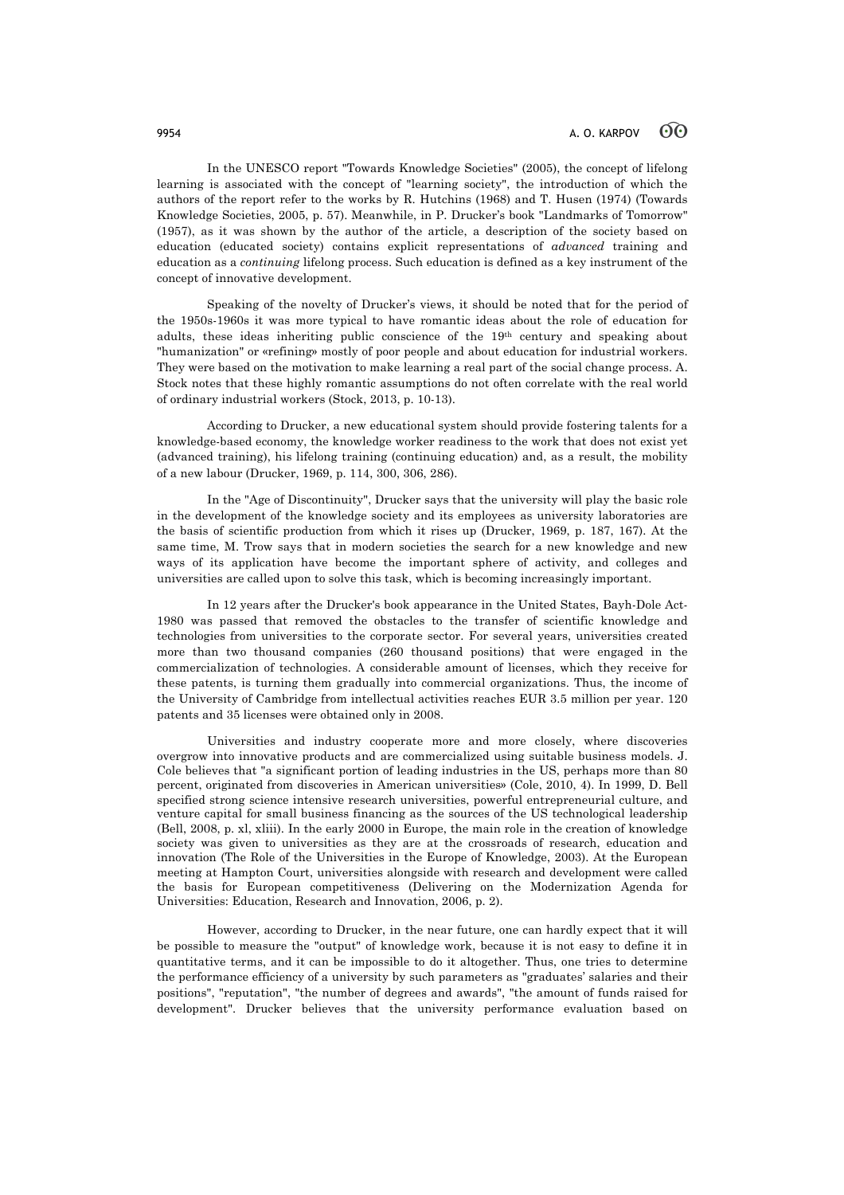In the UNESCO report "Towards Knowledge Societies" (2005), the concept of lifelong learning is associated with the concept of "learning society", the introduction of which the authors of the report refer to the works by R. Hutchins (1968) and T. Husen (1974) (Towards Knowledge Societies, 2005, p. 57). Meanwhile, in P. Drucker's book "Landmarks of Tomorrow" (1957), as it was shown by the author of the article, a description of the society based on education (educated society) contains explicit representations of *advanced* training and education as a *continuing* lifelong process. Such education is defined as a key instrument of the concept of innovative development.

Speaking of the novelty of Drucker's views, it should be noted that for the period of the 1950s-1960s it was more typical to have romantic ideas about the role of education for adults, these ideas inheriting public conscience of the 19th century and speaking about "humanization" or «refining» mostly of poor people and about education for industrial workers. They were based on the motivation to make learning a real part of the social change process. A. Stock notes that these highly romantic assumptions do not often correlate with the real world of ordinary industrial workers (Stock, 2013, p. 10-13).

According to Drucker, a new educational system should provide fostering talents for a knowledge-based economy, the knowledge worker readiness to the work that does not exist yet (advanced training), his lifelong training (continuing education) and, as a result, the mobility of a new labour (Drucker, 1969, p. 114, 300, 306, 286).

In the "Age of Discontinuity", Drucker says that the university will play the basic role in the development of the knowledge society and its employees as university laboratories are the basis of scientific production from which it rises up (Drucker, 1969, p. 187, 167). At the same time, M. Trow says that in modern societies the search for a new knowledge and new ways of its application have become the important sphere of activity, and colleges and universities are called upon to solve this task, which is becoming increasingly important.

In 12 years after the Drucker's book appearance in the United States, Bayh-Dole Act-1980 was passed that removed the obstacles to the transfer of scientific knowledge and technologies from universities to the corporate sector. For several years, universities created more than two thousand companies (260 thousand positions) that were engaged in the commercialization of technologies. A considerable amount of licenses, which they receive for these patents, is turning them gradually into commercial organizations. Thus, the income of the University of Cambridge from intellectual activities reaches EUR 3.5 million per year. 120 patents and 35 licenses were obtained only in 2008.

Universities and industry cooperate more and more closely, where discoveries overgrow into innovative products and are commercialized using suitable business models. J. Cole believes that "a significant portion of leading industries in the US, perhaps more than 80 percent, originated from discoveries in American universities» (Cole, 2010, 4). In 1999, D. Bell specified strong science intensive research universities, powerful entrepreneurial culture, and venture capital for small business financing as the sources of the US technological leadership (Bell, 2008, p. xl, xliii). In the early 2000 in Europe, the main role in the creation of knowledge society was given to universities as they are at the crossroads of research, education and innovation (The Role of the Universities in the Europe of Knowledge, 2003). At the European meeting at Hampton Court, universities alongside with research and development were called the basis for European competitiveness (Delivering on the Modernization Agenda for Universities: Education, Research and Innovation, 2006, p. 2).

However, according to Drucker, in the near future, one can hardly expect that it will be possible to measure the "output" of knowledge work, because it is not easy to define it in quantitative terms, and it can be impossible to do it altogether. Thus, one tries to determine the performance efficiency of a university by such parameters as "graduates' salaries and their positions", "reputation", "the number of degrees and awards", "the amount of funds raised for development". Drucker believes that the university performance evaluation based on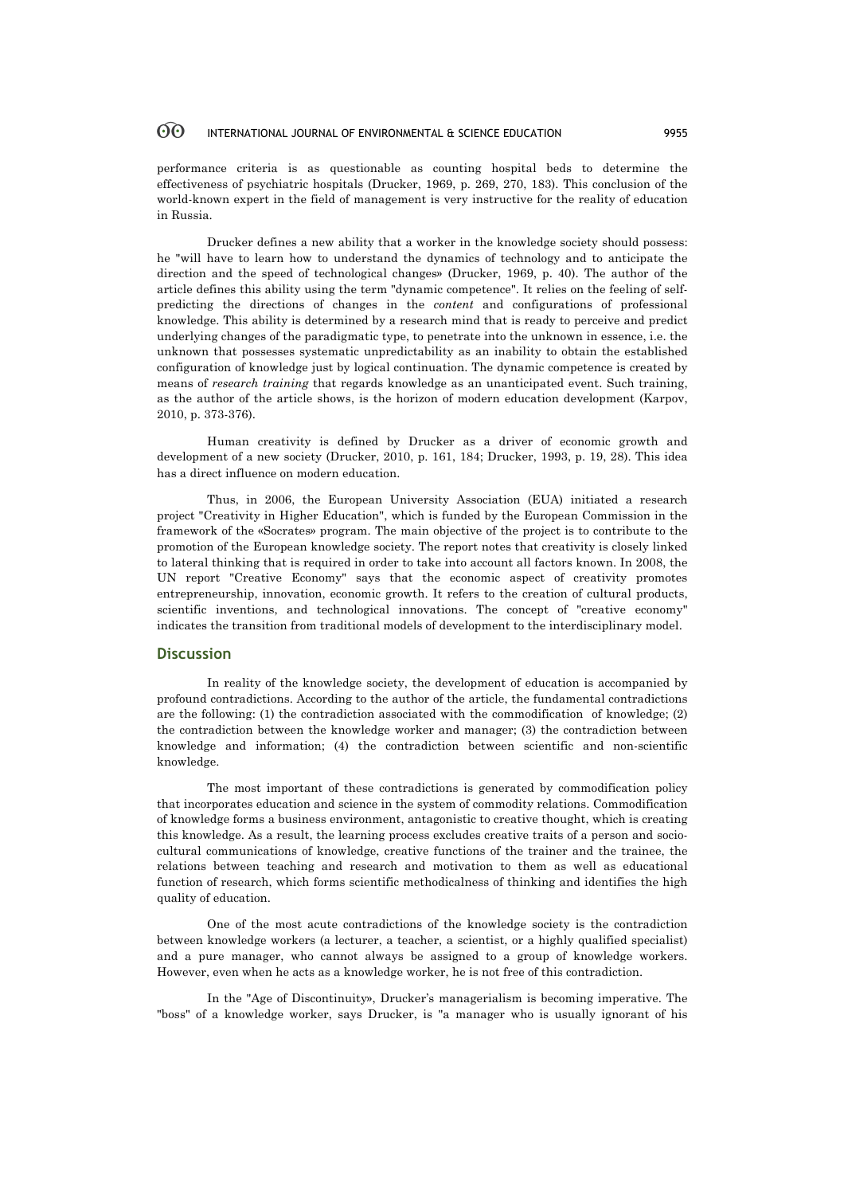performance criteria is as questionable as counting hospital beds to determine the effectiveness of psychiatric hospitals (Drucker, 1969, p. 269, 270, 183). This conclusion of the world-known expert in the field of management is very instructive for the reality of education in Russia.

Drucker defines a new ability that a worker in the knowledge society should possess: he "will have to learn how to understand the dynamics of technology and to anticipate the direction and the speed of technological changes» (Drucker, 1969, p. 40). The author of the article defines this ability using the term "dynamic competence". It relies on the feeling of selfpredicting the directions of changes in the *content* and configurations of professional knowledge. This ability is determined by a research mind that is ready to perceive and predict underlying changes of the paradigmatic type, to penetrate into the unknown in essence, i.e. the unknown that possesses systematic unpredictability as an inability to obtain the established configuration of knowledge just by logical continuation. The dynamic competence is created by means of *research training* that regards knowledge as an unanticipated event. Such training, as the author of the article shows, is the horizon of modern education development (Karpov, 2010, p. 373-376).

Human creativity is defined by Drucker as a driver of economic growth and development of a new society (Drucker, 2010, p. 161, 184; Drucker, 1993, p. 19, 28). This idea has a direct influence on modern education.

Thus, in 2006, the European University Association (EUA) initiated a research project "Creativity in Higher Education", which is funded by the European Commission in the framework of the «Socrates» program. The main objective of the project is to contribute to the promotion of the European knowledge society. The report notes that creativity is closely linked to lateral thinking that is required in order to take into account all factors known. In 2008, the UN report "Creative Economy" says that the economic aspect of creativity promotes entrepreneurship, innovation, economic growth. It refers to the creation of cultural products, scientific inventions, and technological innovations. The concept of "creative economy" indicates the transition from traditional models of development to the interdisciplinary model.

# **Discussion**

In reality of the knowledge society, the development of education is accompanied by profound contradictions. According to the author of the article, the fundamental contradictions are the following: (1) the contradiction associated with the commodification of knowledge; (2) the contradiction between the knowledge worker and manager; (3) the contradiction between knowledge and information; (4) the contradiction between scientific and non-scientific knowledge.

The most important of these contradictions is generated by commodification policy that incorporates education and science in the system of commodity relations. Commodification of knowledge forms a business environment, antagonistic to creative thought, which is creating this knowledge. As a result, the learning process excludes creative traits of a person and sociocultural communications of knowledge, creative functions of the trainer and the trainee, the relations between teaching and research and motivation to them as well as educational function of research, which forms scientific methodicalness of thinking and identifies the high quality of education.

One of the most acute contradictions of the knowledge society is the contradiction between knowledge workers (a lecturer, a teacher, a scientist, or a highly qualified specialist) and a pure manager, who cannot always be assigned to a group of knowledge workers. However, even when he acts as a knowledge worker, he is not free of this contradiction.

In the "Age of Discontinuity», Drucker's managerialism is becoming imperative. The "boss" of a knowledge worker, says Drucker, is "a manager who is usually ignorant of his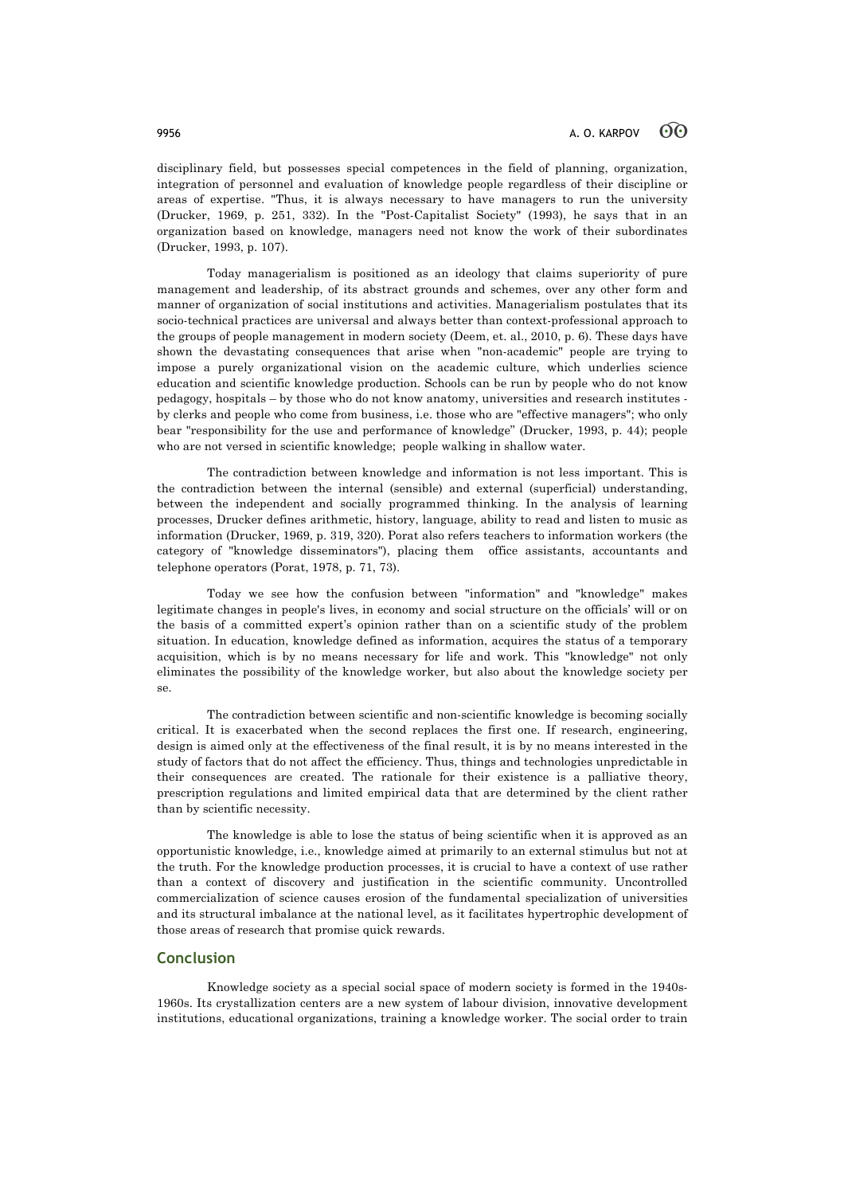disciplinary field, but possesses special competences in the field of planning, organization, integration of personnel and evaluation of knowledge people regardless of their discipline or areas of expertise. "Thus, it is always necessary to have managers to run the university (Drucker, 1969, p. 251, 332). In the "Post-Capitalist Society" (1993), he says that in an organization based on knowledge, managers need not know the work of their subordinates (Drucker, 1993, p. 107).

Today managerialism is positioned as an ideology that claims superiority of pure management and leadership, of its abstract grounds and schemes, over any other form and manner of organization of social institutions and activities. Managerialism postulates that its socio-technical practices are universal and always better than context-professional approach to the groups of people management in modern society (Deem, et. al., 2010, p. 6). These days have shown the devastating consequences that arise when "non-academic" people are trying to impose a purely organizational vision on the academic culture, which underlies science education and scientific knowledge production. Schools can be run by people who do not know pedagogy, hospitals – by those who do not know anatomy, universities and research institutes by clerks and people who come from business, i.e. those who are "effective managers"; who only bear "responsibility for the use and performance of knowledge" (Drucker, 1993, p. 44); people who are not versed in scientific knowledge; people walking in shallow water.

The contradiction between knowledge and information is not less important. This is the contradiction between the internal (sensible) and external (superficial) understanding, between the independent and socially programmed thinking. In the analysis of learning processes, Drucker defines arithmetic, history, language, ability to read and listen to music as information (Drucker, 1969, p. 319, 320). Porat also refers teachers to information workers (the category of "knowledge disseminators"), placing them office assistants, accountants and telephone operators (Porat, 1978, p. 71, 73).

Today we see how the confusion between "information" and "knowledge" makes legitimate changes in people's lives, in economy and social structure on the officials' will or on the basis of a committed expert's opinion rather than on a scientific study of the problem situation. In education, knowledge defined as information, acquires the status of a temporary acquisition, which is by no means necessary for life and work. This "knowledge" not only eliminates the possibility of the knowledge worker, but also about the knowledge society per se.

The contradiction between scientific and non-scientific knowledge is becoming socially critical. It is exacerbated when the second replaces the first one. If research, engineering, design is aimed only at the effectiveness of the final result, it is by no means interested in the study of factors that do not affect the efficiency. Thus, things and technologies unpredictable in their consequences are created. The rationale for their existence is a palliative theory, prescription regulations and limited empirical data that are determined by the client rather than by scientific necessity.

The knowledge is able to lose the status of being scientific when it is approved as an opportunistic knowledge, i.e., knowledge aimed at primarily to an external stimulus but not at the truth. For the knowledge production processes, it is crucial to have a context of use rather than a context of discovery and justification in the scientific community. Uncontrolled commercialization of science causes erosion of the fundamental specialization of universities and its structural imbalance at the national level, as it facilitates hypertrophic development of those areas of research that promise quick rewards.

# **Conclusion**

Knowledge society as a special social space of modern society is formed in the 1940s-1960s. Its crystallization centers are a new system of labour division, innovative development institutions, educational organizations, training a knowledge worker. The social order to train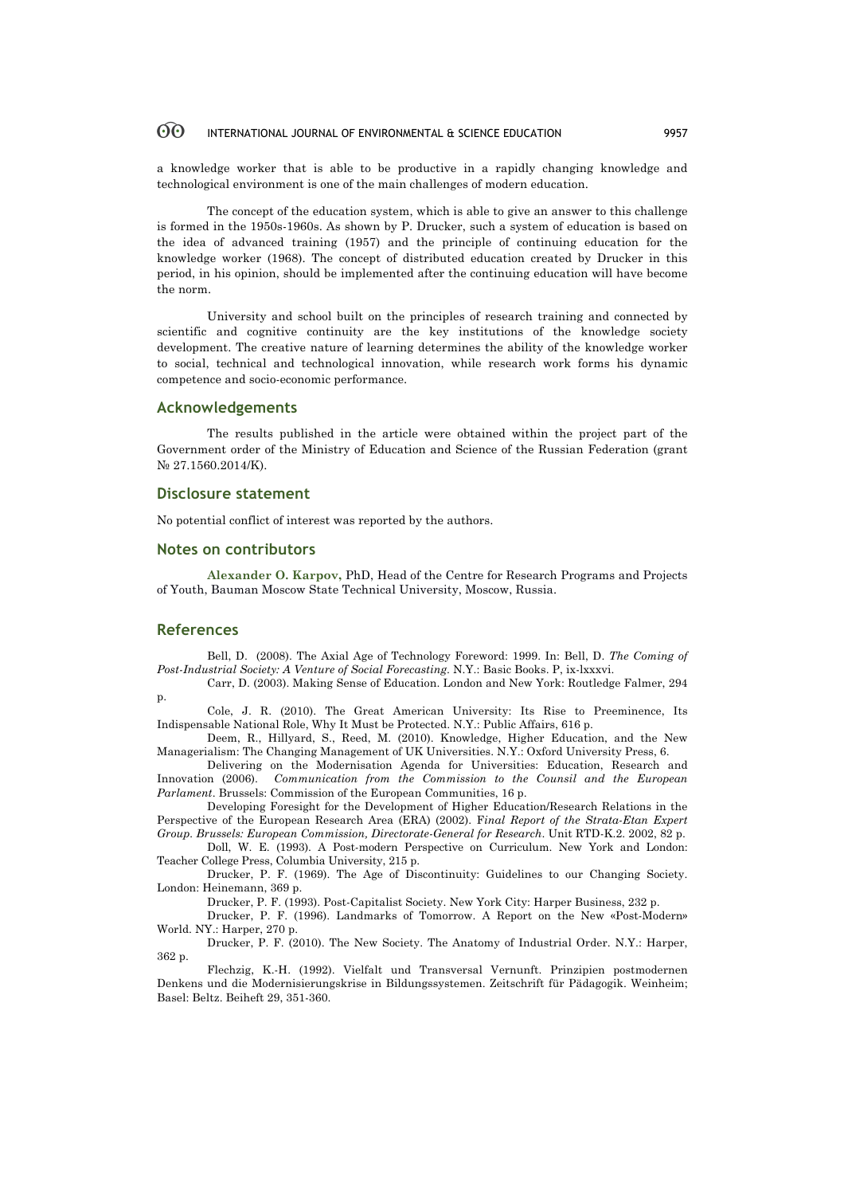a knowledge worker that is able to be productive in a rapidly changing knowledge and technological environment is one of the main challenges of modern education.

The concept of the education system, which is able to give an answer to this challenge is formed in the 1950s-1960s. As shown by P. Drucker, such a system of education is based on the idea of advanced training (1957) and the principle of continuing education for the knowledge worker (1968). The concept of distributed education created by Drucker in this period, in his opinion, should be implemented after the continuing education will have become the norm.

University and school built on the principles of research training and connected by scientific and cognitive continuity are the key institutions of the knowledge society development. The creative nature of learning determines the ability of the knowledge worker to social, technical and technological innovation, while research work forms his dynamic competence and socio-economic performance.

# **Acknowledgements**

The results published in the article were obtained within the project part of the Government order of the Ministry of Education and Science of the Russian Federation (grant № 27.1560.2014/K).

## **Disclosure statement**

No potential conflict of interest was reported by the authors.

# **Notes on contributors**

**Alexander O. Karpov,** PhD, Head of the Centre for Research Programs and Projects of Youth, Bauman Moscow State Technical University, Moscow, Russia.

# **References**

Bell, D. (2008). The Axial Age of Technology Foreword: 1999. In: Bell, D. *The Coming of Post-Industrial Society: A Venture of Social Forecasting*. N.Y.: Basic Books. Р, ix-lxxxvi.

Carr, D. (2003). Making Sense of Education. London and New York: Routledge Falmer, 294  $p$ .

Cole, J. R. (2010). The Great American University: Its Rise to Preeminence, Its Indispensable National Role, Why It Must be Protected. N.Y.: Public Affairs, 616 р.

Deem, R., Hillyard, S., Reed, M. (2010). Knowledge, Higher Education, and the New Managerialism: The Changing Management of UK Universities. N.Y.: Oxford University Press, 6.

Delivering on the Modernisation Agenda for Universities: Education, Research and Innovation (2006). *Communication from the Commission to the Counsil and the European Parlament*. Brussels: Commission of the European Communities, 16 р.

Developing Foresight for the Development of Higher Education/Research Relations in the Perspective of the European Research Area (ERA) (2002). F*inal Report of the Strata-Etan Expert Group. Brussels: European Commission, Directorate-General for Research*. Unit RTD-K.2. 2002, 82 р.

Doll, W. E. (1993). A Post-modern Perspective on Curriculum. New York and London: Teacher College Press, Columbia University, 215 р.

Drucker, P. F. (1969). The Age of Discontinuity: Guidelines to our Changing Society. London: Heinemann, 369 р.

Drucker, P. F. (1993). Post-Capitalist Society. New York City: Harper Business, 232 p.

Drucker, P. F. (1996). Landmarks of Tomorrow. A Report on the New «Post-Modern» World. NY.: Harper, 270 р.

Drucker, P. F. (2010). The New Society. The Anatomy of Industrial Order. N.Y.: Harper, 362 р.

Flechzig, K.-H. (1992). Vielfalt und Transversal Vernunft. Prinzipien postmodernen Denkens und die Modernisierungskrise in Bildungssystemen. Zeitschrift für Pädagogik. Weinheim; Basel: Beltz. Beiheft 29, 351-360.